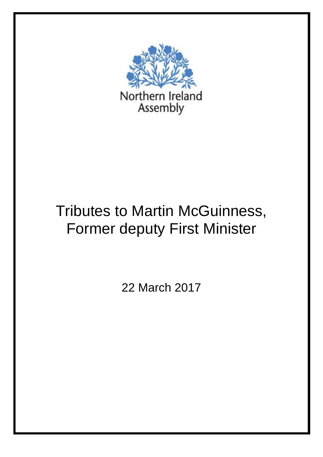

## Tributes to Martin McGuinness, Former deputy First Minister

22 March 2017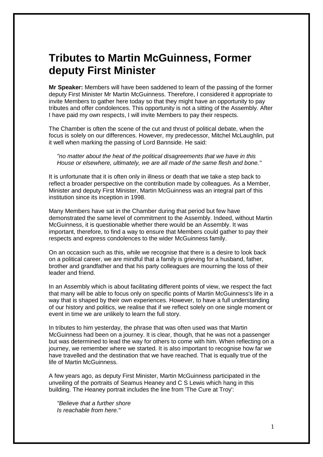## **Tributes to Martin McGuinness, Former deputy First Minister**

**Mr Speaker:** Members will have been saddened to learn of the passing of the former deputy First Minister Mr Martin McGuinness. Therefore, I considered it appropriate to invite Members to gather here today so that they might have an opportunity to pay tributes and offer condolences. This opportunity is not a sitting of the Assembly. After I have paid my own respects, I will invite Members to pay their respects.

The Chamber is often the scene of the cut and thrust of political debate, when the focus is solely on our differences. However, my predecessor, Mitchel McLaughlin, put it well when marking the passing of Lord Bannside. He said:

*"no matter about the heat of the political disagreements that we have in this House or elsewhere, ultimately, we are all made of the same flesh and bone."*

It is unfortunate that it is often only in illness or death that we take a step back to reflect a broader perspective on the contribution made by colleagues. As a Member, Minister and deputy First Minister, Martin McGuinness was an integral part of this institution since its inception in 1998.

Many Members have sat in the Chamber during that period but few have demonstrated the same level of commitment to the Assembly. Indeed, without Martin McGuinness, it is questionable whether there would be an Assembly. It was important, therefore, to find a way to ensure that Members could gather to pay their respects and express condolences to the wider McGuinness family.

On an occasion such as this, while we recognise that there is a desire to look back on a political career, we are mindful that a family is grieving for a husband, father, brother and grandfather and that his party colleagues are mourning the loss of their leader and friend.

In an Assembly which is about facilitating different points of view, we respect the fact that many will be able to focus only on specific points of Martin McGuinness's life in a way that is shaped by their own experiences. However, to have a full understanding of our history and politics, we realise that if we reflect solely on one single moment or event in time we are unlikely to learn the full story.

In tributes to him yesterday, the phrase that was often used was that Martin McGuinness had been on a journey. It is clear, though, that he was not a passenger but was determined to lead the way for others to come with him. When reflecting on a journey, we remember where we started. It is also important to recognise how far we have travelled and the destination that we have reached. That is equally true of the life of Martin McGuinness.

A few years ago, as deputy First Minister, Martin McGuinness participated in the unveiling of the portraits of Seamus Heaney and C S Lewis which hang in this building. The Heaney portrait includes the line from 'The Cure at Troy':

*"Believe that a further shore Is reachable from here."*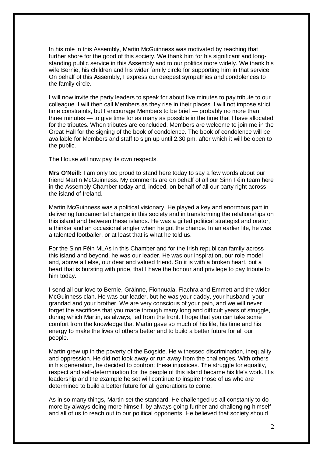In his role in this Assembly, Martin McGuinness was motivated by reaching that further shore for the good of this society. We thank him for his significant and longstanding public service in this Assembly and to our politics more widely. We thank his wife Bernie, his children and his wider family circle for supporting him in that service. On behalf of this Assembly, I express our deepest sympathies and condolences to the family circle.

I will now invite the party leaders to speak for about five minutes to pay tribute to our colleague. I will then call Members as they rise in their places. I will not impose strict time constraints, but I encourage Members to be brief — probably no more than three minutes — to give time for as many as possible in the time that I have allocated for the tributes. When tributes are concluded, Members are welcome to join me in the Great Hall for the signing of the book of condolence. The book of condolence will be available for Members and staff to sign up until 2.30 pm, after which it will be open to the public.

The House will now pay its own respects.

**Mrs O'Neill:** I am only too proud to stand here today to say a few words about our friend Martin McGuinness. My comments are on behalf of all our Sinn Féin team here in the Assembly Chamber today and, indeed, on behalf of all our party right across the island of Ireland.

Martin McGuinness was a political visionary. He played a key and enormous part in delivering fundamental change in this society and in transforming the relationships on this island and between these islands. He was a gifted political strategist and orator, a thinker and an occasional angler when he got the chance. In an earlier life, he was a talented footballer, or at least that is what he told us.

For the Sinn Féin MLAs in this Chamber and for the Irish republican family across this island and beyond, he was our leader. He was our inspiration, our role model and, above all else, our dear and valued friend. So it is with a broken heart, but a heart that is bursting with pride, that I have the honour and privilege to pay tribute to him today.

I send all our love to Bernie, Gráinne, Fionnuala, Fiachra and Emmett and the wider McGuinness clan. He was our leader, but he was your daddy, your husband, your grandad and your brother. We are very conscious of your pain, and we will never forget the sacrifices that you made through many long and difficult years of struggle, during which Martin, as always, led from the front. I hope that you can take some comfort from the knowledge that Martin gave so much of his life, his time and his energy to make the lives of others better and to build a better future for all our people.

Martin grew up in the poverty of the Bogside. He witnessed discrimination, inequality and oppression. He did not look away or run away from the challenges. With others in his generation, he decided to confront these injustices. The struggle for equality, respect and self-determination for the people of this island became his life's work. His leadership and the example he set will continue to inspire those of us who are determined to build a better future for all generations to come.

As in so many things, Martin set the standard. He challenged us all constantly to do more by always doing more himself, by always going further and challenging himself and all of us to reach out to our political opponents. He believed that society should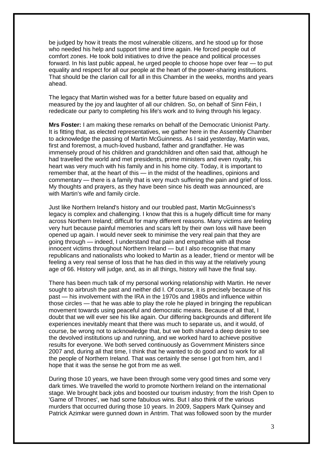be judged by how it treats the most vulnerable citizens, and he stood up for those who needed his help and support time and time again. He forced people out of comfort zones. He took bold initiatives to drive the peace and political processes forward. In his last public appeal, he urged people to choose hope over fear — to put equality and respect for all our people at the heart of the power-sharing institutions. That should be the clarion call for all in this Chamber in the weeks, months and years ahead.

The legacy that Martin wished was for a better future based on equality and measured by the joy and laughter of all our children. So, on behalf of Sinn Féin, I rededicate our party to completing his life's work and to living through his legacy.

**Mrs Foster:** I am making these remarks on behalf of the Democratic Unionist Party. It is fitting that, as elected representatives, we gather here in the Assembly Chamber to acknowledge the passing of Martin McGuinness. As I said yesterday, Martin was, first and foremost, a much-loved husband, father and grandfather. He was immensely proud of his children and grandchildren and often said that, although he had travelled the world and met presidents, prime ministers and even royalty, his heart was very much with his family and in his home city. Today, it is important to remember that, at the heart of this — in the midst of the headlines, opinions and commentary — there is a family that is very much suffering the pain and grief of loss. My thoughts and prayers, as they have been since his death was announced, are with Martin's wife and family circle.

Just like Northern Ireland's history and our troubled past, Martin McGuinness's legacy is complex and challenging. I know that this is a hugely difficult time for many across Northern Ireland; difficult for many different reasons. Many victims are feeling very hurt because painful memories and scars left by their own loss will have been opened up again. I would never seek to minimise the very real pain that they are going through — indeed, I understand that pain and empathise with all those innocent victims throughout Northern Ireland — but I also recognise that many republicans and nationalists who looked to Martin as a leader, friend or mentor will be feeling a very real sense of loss that he has died in this way at the relatively young age of 66. History will judge, and, as in all things, history will have the final say.

There has been much talk of my personal working relationship with Martin. He never sought to airbrush the past and neither did I. Of course, it is precisely because of his past — his involvement with the IRA in the 1970s and 1980s and influence within those circles — that he was able to play the role he played in bringing the republican movement towards using peaceful and democratic means. Because of all that, I doubt that we will ever see his like again. Our differing backgrounds and different life experiences inevitably meant that there was much to separate us, and it would, of course, be wrong not to acknowledge that, but we both shared a deep desire to see the devolved institutions up and running, and we worked hard to achieve positive results for everyone. We both served continuously as Government Ministers since 2007 and, during all that time, I think that he wanted to do good and to work for all the people of Northern Ireland. That was certainly the sense I got from him, and I hope that it was the sense he got from me as well.

During those 10 years, we have been through some very good times and some very dark times. We travelled the world to promote Northern Ireland on the international stage. We brought back jobs and boosted our tourism industry; from the Irish Open to 'Game of Thrones', we had some fabulous wins. But I also think of the various murders that occurred during those 10 years. In 2009, Sappers Mark Quinsey and Patrick Azimkar were gunned down in Antrim. That was followed soon by the murder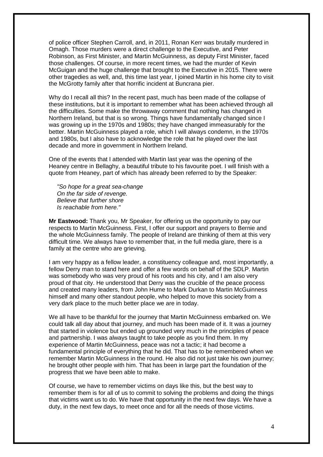of police officer Stephen Carroll, and, in 2011, Ronan Kerr was brutally murdered in Omagh. Those murders were a direct challenge to the Executive, and Peter Robinson, as First Minister, and Martin McGuinness, as deputy First Minister, faced those challenges. Of course, in more recent times, we had the murder of Kevin McGuigan and the huge challenge that brought to the Executive in 2015. There were other tragedies as well, and, this time last year, I joined Martin in his home city to visit the McGrotty family after that horrific incident at Buncrana pier.

Why do I recall all this? In the recent past, much has been made of the collapse of these institutions, but it is important to remember what has been achieved through all the difficulties. Some make the throwaway comment that nothing has changed in Northern Ireland, but that is so wrong. Things have fundamentally changed since I was growing up in the 1970s and 1980s; they have changed immeasurably for the better. Martin McGuinness played a role, which I will always condemn, in the 1970s and 1980s, but I also have to acknowledge the role that he played over the last decade and more in government in Northern Ireland.

One of the events that I attended with Martin last year was the opening of the Heaney centre in Bellaghy, a beautiful tribute to his favourite poet. I will finish with a quote from Heaney, part of which has already been referred to by the Speaker:

*"So hope for a great sea-change On the far side of revenge. Believe that further shore Is reachable from here."*

**Mr Eastwood:** Thank you, Mr Speaker, for offering us the opportunity to pay our respects to Martin McGuinness. First, I offer our support and prayers to Bernie and the whole McGuinness family. The people of Ireland are thinking of them at this very difficult time. We always have to remember that, in the full media glare, there is a family at the centre who are grieving.

I am very happy as a fellow leader, a constituency colleague and, most importantly, a fellow Derry man to stand here and offer a few words on behalf of the SDLP. Martin was somebody who was very proud of his roots and his city, and I am also very proud of that city. He understood that Derry was the crucible of the peace process and created many leaders, from John Hume to Mark Durkan to Martin McGuinness himself and many other standout people, who helped to move this society from a very dark place to the much better place we are in today.

We all have to be thankful for the journey that Martin McGuinness embarked on. We could talk all day about that journey, and much has been made of it. It was a journey that started in violence but ended up grounded very much in the principles of peace and partnership. I was always taught to take people as you find them. In my experience of Martin McGuinness, peace was not a tactic; it had become a fundamental principle of everything that he did. That has to be remembered when we remember Martin McGuinness in the round. He also did not just take his own journey; he brought other people with him. That has been in large part the foundation of the progress that we have been able to make.

Of course, we have to remember victims on days like this, but the best way to remember them is for all of us to commit to solving the problems and doing the things that victims want us to do. We have that opportunity in the next few days. We have a duty, in the next few days, to meet once and for all the needs of those victims.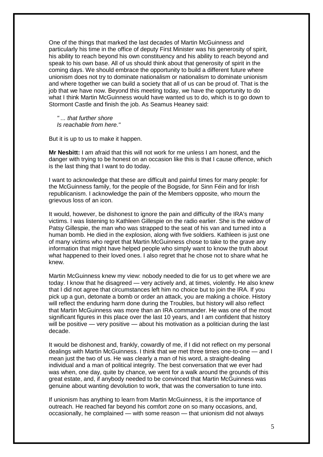One of the things that marked the last decades of Martin McGuinness and particularly his time in the office of deputy First Minister was his generosity of spirit, his ability to reach beyond his own constituency and his ability to reach beyond and speak to his own base. All of us should think about that generosity of spirit in the coming days. We should embrace the opportunity to build a different future where unionism does not try to dominate nationalism or nationalism to dominate unionism and where together we can build a society that all of us can be proud of. That is the job that we have now. Beyond this meeting today, we have the opportunity to do what I think Martin McGuinness would have wanted us to do, which is to go down to Stormont Castle and finish the job. As Seamus Heaney said:

*" ... that further shore Is reachable from here."*

But it is up to us to make it happen.

**Mr Nesbitt:** I am afraid that this will not work for me unless I am honest, and the danger with trying to be honest on an occasion like this is that I cause offence, which is the last thing that I want to do today.

I want to acknowledge that these are difficult and painful times for many people: for the McGuinness family, for the people of the Bogside, for Sinn Féin and for Irish republicanism. I acknowledge the pain of the Members opposite, who mourn the grievous loss of an icon.

It would, however, be dishonest to ignore the pain and difficulty of the IRA's many victims. I was listening to Kathleen Gillespie on the radio earlier. She is the widow of Patsy Gillespie, the man who was strapped to the seat of his van and turned into a human bomb. He died in the explosion, along with five soldiers. Kathleen is just one of many victims who regret that Martin McGuinness chose to take to the grave any information that might have helped people who simply want to know the truth about what happened to their loved ones. I also regret that he chose not to share what he knew.

Martin McGuinness knew my view: nobody needed to die for us to get where we are today. I know that he disagreed — very actively and, at times, violently. He also knew that I did not agree that circumstances left him no choice but to join the IRA. If you pick up a gun, detonate a bomb or order an attack, you are making a choice. History will reflect the enduring harm done during the Troubles, but history will also reflect that Martin McGuinness was more than an IRA commander. He was one of the most significant figures in this place over the last 10 years, and I am confident that history will be positive — very positive — about his motivation as a politician during the last decade.

It would be dishonest and, frankly, cowardly of me, if I did not reflect on my personal dealings with Martin McGuinness. I think that we met three times one-to-one — and I mean just the two of us. He was clearly a man of his word, a straight-dealing individual and a man of political integrity. The best conversation that we ever had was when, one day, quite by chance, we went for a walk around the grounds of this great estate, and, if anybody needed to be convinced that Martin McGuinness was genuine about wanting devolution to work, that was the conversation to tune into.

If unionism has anything to learn from Martin McGuinness, it is the importance of outreach. He reached far beyond his comfort zone on so many occasions, and, occasionally, he complained — with some reason — that unionism did not always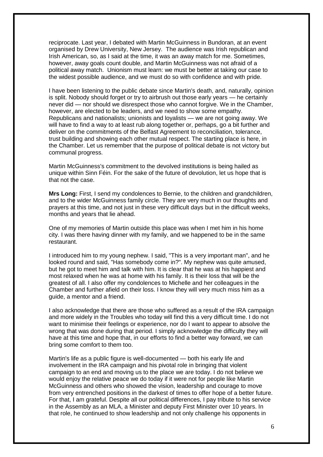reciprocate. Last year, I debated with Martin McGuinness in Bundoran, at an event organised by Drew University, New Jersey. The audience was Irish republican and Irish American, so, as I said at the time, it was an away match for me. Sometimes, however, away goals count double, and Martin McGuinness was not afraid of a political away match. Unionism must learn: we must be better at taking our case to the widest possible audience, and we must do so with confidence and with pride.

I have been listening to the public debate since Martin's death, and, naturally, opinion is split. Nobody should forget or try to airbrush out those early years — he certainly never did — nor should we disrespect those who cannot forgive. We in the Chamber, however, are elected to be leaders, and we need to show some empathy. Republicans and nationalists; unionists and loyalists — we are not going away. We will have to find a way to at least rub along together or, perhaps, go a bit further and deliver on the commitments of the Belfast Agreement to reconciliation, tolerance, trust building and showing each other mutual respect. The starting place is here, in the Chamber. Let us remember that the purpose of political debate is not victory but communal progress.

Martin McGuinness's commitment to the devolved institutions is being hailed as unique within Sinn Féin. For the sake of the future of devolution, let us hope that is that not the case.

**Mrs Long:** First, I send my condolences to Bernie, to the children and grandchildren, and to the wider McGuinness family circle. They are very much in our thoughts and prayers at this time, and not just in these very difficult days but in the difficult weeks, months and years that lie ahead.

One of my memories of Martin outside this place was when I met him in his home city. I was there having dinner with my family, and we happened to be in the same restaurant.

I introduced him to my young nephew. I said, "This is a very important man", and he looked round and said, "Has somebody come in?". My nephew was quite amused, but he got to meet him and talk with him. It is clear that he was at his happiest and most relaxed when he was at home with his family. It is their loss that will be the greatest of all. I also offer my condolences to Michelle and her colleagues in the Chamber and further afield on their loss. I know they will very much miss him as a guide, a mentor and a friend.

I also acknowledge that there are those who suffered as a result of the IRA campaign and more widely in the Troubles who today will find this a very difficult time. I do not want to minimise their feelings or experience, nor do I want to appear to absolve the wrong that was done during that period. I simply acknowledge the difficulty they will have at this time and hope that, in our efforts to find a better way forward, we can bring some comfort to them too.

Martin's life as a public figure is well-documented — both his early life and involvement in the IRA campaign and his pivotal role in bringing that violent campaign to an end and moving us to the place we are today. I do not believe we would enjoy the relative peace we do today if it were not for people like Martin McGuinness and others who showed the vision, leadership and courage to move from very entrenched positions in the darkest of times to offer hope of a better future. For that, I am grateful. Despite all our political differences, I pay tribute to his service in the Assembly as an MLA, a Minister and deputy First Minister over 10 years. In that role, he continued to show leadership and not only challenge his opponents in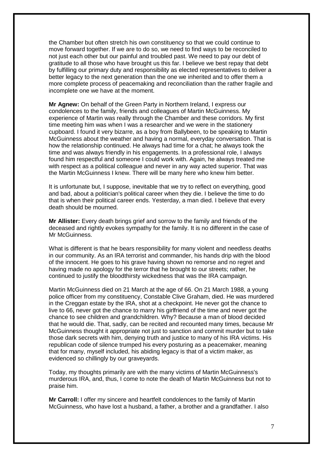the Chamber but often stretch his own constituency so that we could continue to move forward together. If we are to do so, we need to find ways to be reconciled to not just each other but our painful and troubled past. We need to pay our debt of gratitude to all those who have brought us this far. I believe we best repay that debt by fulfilling our primary duty and responsibility as elected representatives to deliver a better legacy to the next generation than the one we inherited and to offer them a more complete process of peacemaking and reconciliation than the rather fragile and incomplete one we have at the moment.

**Mr Agnew:** On behalf of the Green Party in Northern Ireland, I express our condolences to the family, friends and colleagues of Martin McGuinness. My experience of Martin was really through the Chamber and these corridors. My first time meeting him was when I was a researcher and we were in the stationery cupboard. I found it very bizarre, as a boy from Ballybeen, to be speaking to Martin McGuinness about the weather and having a normal, everyday conversation. That is how the relationship continued. He always had time for a chat; he always took the time and was always friendly in his engagements. In a professional role, I always found him respectful and someone I could work with. Again, he always treated me with respect as a political colleague and never in any way acted superior. That was the Martin McGuinness I knew. There will be many here who knew him better.

It is unfortunate but, I suppose, inevitable that we try to reflect on everything, good and bad, about a politician's political career when they die. I believe the time to do that is when their political career ends. Yesterday, a man died. I believe that every death should be mourned.

**Mr Allister:** Every death brings grief and sorrow to the family and friends of the deceased and rightly evokes sympathy for the family. It is no different in the case of Mr McGuinness.

What is different is that he bears responsibility for many violent and needless deaths in our community. As an IRA terrorist and commander, his hands drip with the blood of the innocent. He goes to his grave having shown no remorse and no regret and having made no apology for the terror that he brought to our streets; rather, he continued to justify the bloodthirsty wickedness that was the IRA campaign.

Martin McGuinness died on 21 March at the age of 66. On 21 March 1988, a young police officer from my constituency, Constable Clive Graham, died. He was murdered in the Creggan estate by the IRA, shot at a checkpoint. He never got the chance to live to 66, never got the chance to marry his girlfriend of the time and never got the chance to see children and grandchildren. Why? Because a man of blood decided that he would die. That, sadly, can be recited and recounted many times, because Mr McGuinness thought it appropriate not just to sanction and commit murder but to take those dark secrets with him, denying truth and justice to many of his IRA victims. His republican code of silence trumped his every posturing as a peacemaker, meaning that for many, myself included, his abiding legacy is that of a victim maker, as evidenced so chillingly by our graveyards.

Today, my thoughts primarily are with the many victims of Martin McGuinness's murderous IRA, and, thus, I come to note the death of Martin McGuinness but not to praise him.

**Mr Carroll:** I offer my sincere and heartfelt condolences to the family of Martin McGuinness, who have lost a husband, a father, a brother and a grandfather. I also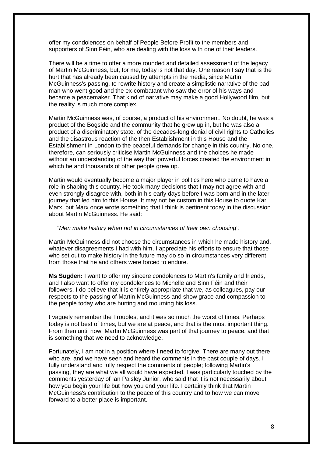offer my condolences on behalf of People Before Profit to the members and supporters of Sinn Féin, who are dealing with the loss with one of their leaders.

There will be a time to offer a more rounded and detailed assessment of the legacy of Martin McGuinness, but, for me, today is not that day. One reason I say that is the hurt that has already been caused by attempts in the media, since Martin McGuinness's passing, to rewrite history and create a simplistic narrative of the bad man who went good and the ex-combatant who saw the error of his ways and became a peacemaker. That kind of narrative may make a good Hollywood film, but the reality is much more complex.

Martin McGuinness was, of course, a product of his environment. No doubt, he was a product of the Bogside and the community that he grew up in, but he was also a product of a discriminatory state, of the decades-long denial of civil rights to Catholics and the disastrous reaction of the then Establishment in this House and the Establishment in London to the peaceful demands for change in this country. No one, therefore, can seriously criticise Martin McGuinness and the choices he made without an understanding of the way that powerful forces created the environment in which he and thousands of other people grew up.

Martin would eventually become a major player in politics here who came to have a role in shaping this country. He took many decisions that I may not agree with and even strongly disagree with, both in his early days before I was born and in the later journey that led him to this House. It may not be custom in this House to quote Karl Marx, but Marx once wrote something that I think is pertinent today in the discussion about Martin McGuinness. He said:

## *"Men make history when not in circumstances of their own choosing".*

Martin McGuinness did not choose the circumstances in which he made history and, whatever disagreements I had with him, I appreciate his efforts to ensure that those who set out to make history in the future may do so in circumstances very different from those that he and others were forced to endure.

**Ms Sugden:** I want to offer my sincere condolences to Martin's family and friends, and I also want to offer my condolences to Michelle and Sinn Féin and their followers. I do believe that it is entirely appropriate that we, as colleagues, pay our respects to the passing of Martin McGuinness and show grace and compassion to the people today who are hurting and mourning his loss.

I vaguely remember the Troubles, and it was so much the worst of times. Perhaps today is not best of times, but we are at peace, and that is the most important thing. From then until now, Martin McGuinness was part of that journey to peace, and that is something that we need to acknowledge.

Fortunately, I am not in a position where I need to forgive. There are many out there who are, and we have seen and heard the comments in the past couple of days. I fully understand and fully respect the comments of people; following Martin's passing, they are what we all would have expected. I was particularly touched by the comments yesterday of Ian Paisley Junior, who said that it is not necessarily about how you begin your life but how you end your life. I certainly think that Martin McGuinness's contribution to the peace of this country and to how we can move forward to a better place is important.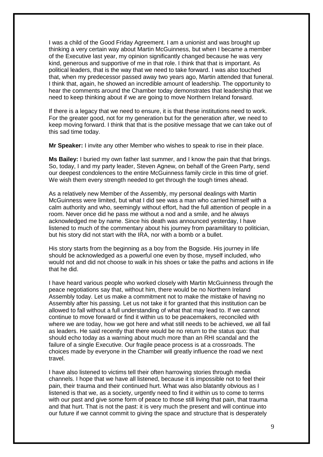I was a child of the Good Friday Agreement. I am a unionist and was brought up thinking a very certain way about Martin McGuinness, but when I became a member of the Executive last year, my opinion significantly changed because he was very kind, generous and supportive of me in that role. I think that that is important. As political leaders, that is the way that we need to take forward. I was also touched that, when my predecessor passed away two years ago, Martin attended that funeral. I think that, again, he showed an incredible amount of leadership. The opportunity to hear the comments around the Chamber today demonstrates that leadership that we need to keep thinking about if we are going to move Northern Ireland forward.

If there is a legacy that we need to ensure, it is that these institutions need to work. For the greater good, not for my generation but for the generation after, we need to keep moving forward. I think that that is the positive message that we can take out of this sad time today.

**Mr Speaker:** I invite any other Member who wishes to speak to rise in their place.

**Ms Bailey:** I buried my own father last summer, and I know the pain that that brings. So, today, I and my party leader, Steven Agnew, on behalf of the Green Party, send our deepest condolences to the entire McGuinness family circle in this time of grief. We wish them every strength needed to get through the tough times ahead.

As a relatively new Member of the Assembly, my personal dealings with Martin McGuinness were limited, but what I did see was a man who carried himself with a calm authority and who, seemingly without effort, had the full attention of people in a room. Never once did he pass me without a nod and a smile, and he always acknowledged me by name. Since his death was announced yesterday, I have listened to much of the commentary about his journey from paramilitary to politician, but his story did not start with the IRA, nor with a bomb or a bullet.

His story starts from the beginning as a boy from the Bogside. His journey in life should be acknowledged as a powerful one even by those, myself included, who would not and did not choose to walk in his shoes or take the paths and actions in life that he did.

I have heard various people who worked closely with Martin McGuinness through the peace negotiations say that, without him, there would be no Northern Ireland Assembly today. Let us make a commitment not to make the mistake of having no Assembly after his passing. Let us not take it for granted that this institution can be allowed to fall without a full understanding of what that may lead to. If we cannot continue to move forward or find it within us to be peacemakers, reconciled with where we are today, how we got here and what still needs to be achieved, we all fail as leaders. He said recently that there would be no return to the status quo: that should echo today as a warning about much more than an RHI scandal and the failure of a single Executive. Our fragile peace process is at a crossroads. The choices made by everyone in the Chamber will greatly influence the road we next travel.

I have also listened to victims tell their often harrowing stories through media channels. I hope that we have all listened, because it is impossible not to feel their pain, their trauma and their continued hurt. What was also blatantly obvious as I listened is that we, as a society, urgently need to find it within us to come to terms with our past and give some form of peace to those still living that pain, that trauma and that hurt. That is not the past: it is very much the present and will continue into our future if we cannot commit to giving the space and structure that is desperately